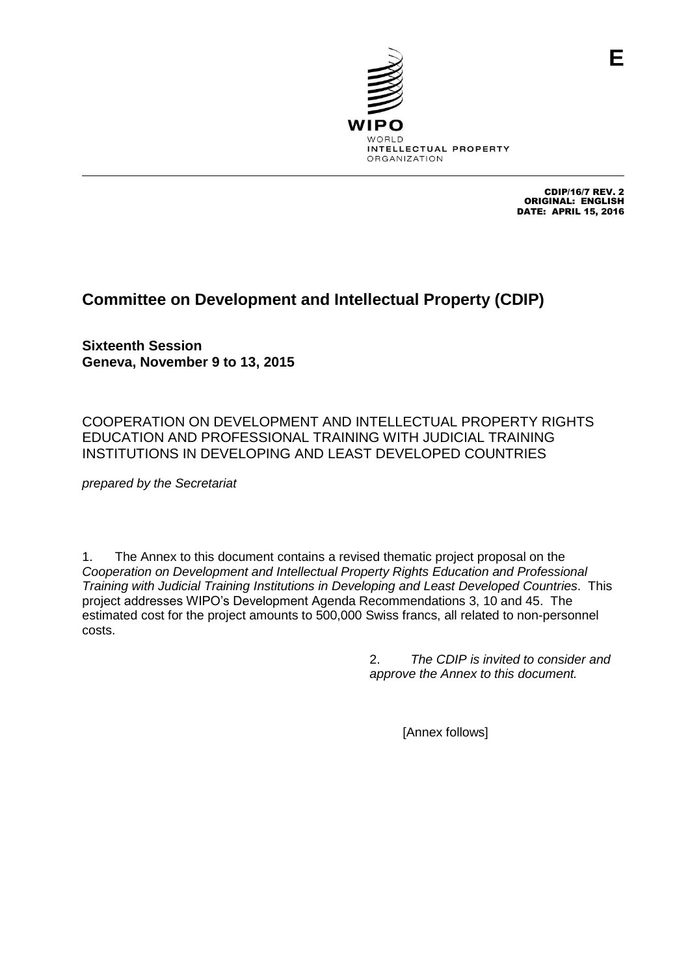

CDIP/16/7 REV. 2 ORIGINAL: ENGLISH DATE: APRIL 15, 2016

**E**

# **Committee on Development and Intellectual Property (CDIP)**

**Sixteenth Session Geneva, November 9 to 13, 2015**

COOPERATION ON DEVELOPMENT AND INTELLECTUAL PROPERTY RIGHTS EDUCATION AND PROFESSIONAL TRAINING WITH JUDICIAL TRAINING INSTITUTIONS IN DEVELOPING AND LEAST DEVELOPED COUNTRIES

*prepared by the Secretariat*

1. The Annex to this document contains a revised thematic project proposal on the *Cooperation on Development and Intellectual Property Rights Education and Professional Training with Judicial Training Institutions in Developing and Least Developed Countries*. This project addresses WIPO's Development Agenda Recommendations 3, 10 and 45. The estimated cost for the project amounts to 500,000 Swiss francs, all related to non-personnel costs.

> 2. *The CDIP is invited to consider and approve the Annex to this document.*

> > [Annex follows]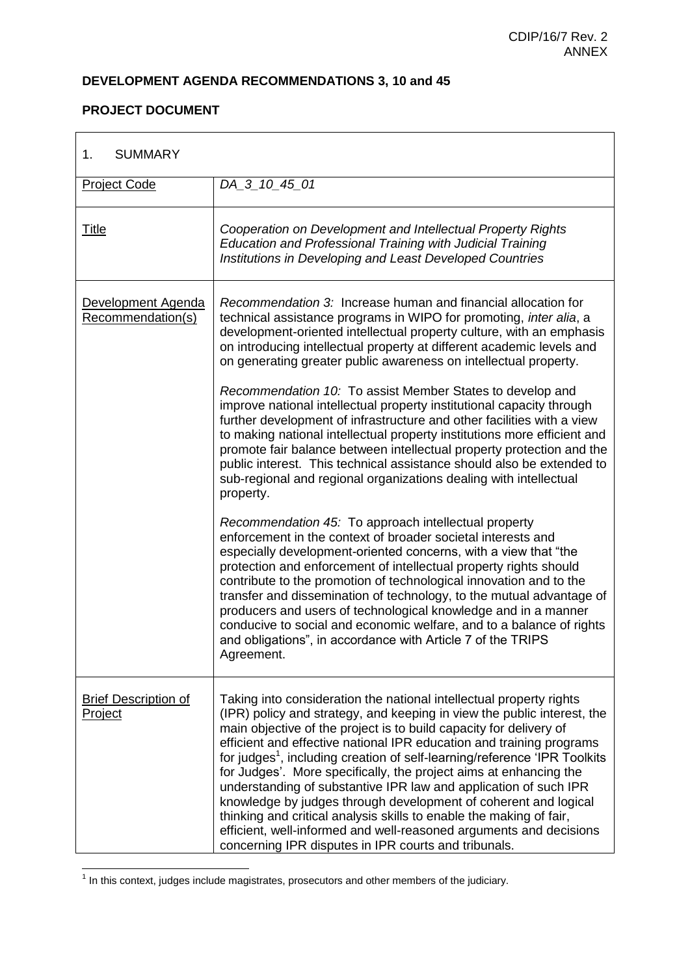$\overline{\phantom{0}}$ 

## **DEVELOPMENT AGENDA RECOMMENDATIONS 3, 10 and 45**

## **PROJECT DOCUMENT**

 $\mathbf{r}$ 

| <b>SUMMARY</b><br>1.                          |                                                                                                                                                                                                                                                                                                                                                                                                                                                                                                                                                                                                                                                                                                                                                                                                        |
|-----------------------------------------------|--------------------------------------------------------------------------------------------------------------------------------------------------------------------------------------------------------------------------------------------------------------------------------------------------------------------------------------------------------------------------------------------------------------------------------------------------------------------------------------------------------------------------------------------------------------------------------------------------------------------------------------------------------------------------------------------------------------------------------------------------------------------------------------------------------|
| <b>Project Code</b>                           | DA_3_10_45_01                                                                                                                                                                                                                                                                                                                                                                                                                                                                                                                                                                                                                                                                                                                                                                                          |
| <b>Title</b>                                  | Cooperation on Development and Intellectual Property Rights<br>Education and Professional Training with Judicial Training<br>Institutions in Developing and Least Developed Countries                                                                                                                                                                                                                                                                                                                                                                                                                                                                                                                                                                                                                  |
| Development Agenda<br>Recommendation(s)       | Recommendation 3: Increase human and financial allocation for<br>technical assistance programs in WIPO for promoting, inter alia, a<br>development-oriented intellectual property culture, with an emphasis<br>on introducing intellectual property at different academic levels and<br>on generating greater public awareness on intellectual property.                                                                                                                                                                                                                                                                                                                                                                                                                                               |
|                                               | Recommendation 10: To assist Member States to develop and<br>improve national intellectual property institutional capacity through<br>further development of infrastructure and other facilities with a view<br>to making national intellectual property institutions more efficient and<br>promote fair balance between intellectual property protection and the<br>public interest. This technical assistance should also be extended to<br>sub-regional and regional organizations dealing with intellectual<br>property.                                                                                                                                                                                                                                                                           |
|                                               | Recommendation 45: To approach intellectual property<br>enforcement in the context of broader societal interests and<br>especially development-oriented concerns, with a view that "the<br>protection and enforcement of intellectual property rights should<br>contribute to the promotion of technological innovation and to the<br>transfer and dissemination of technology, to the mutual advantage of<br>producers and users of technological knowledge and in a manner<br>conducive to social and economic welfare, and to a balance of rights<br>and obligations", in accordance with Article 7 of the TRIPS<br>Agreement.                                                                                                                                                                      |
| <b>Brief Description of</b><br><b>Project</b> | Taking into consideration the national intellectual property rights<br>(IPR) policy and strategy, and keeping in view the public interest, the<br>main objective of the project is to build capacity for delivery of<br>efficient and effective national IPR education and training programs<br>for judges <sup>1</sup> , including creation of self-learning/reference 'IPR Toolkits<br>for Judges'. More specifically, the project aims at enhancing the<br>understanding of substantive IPR law and application of such IPR<br>knowledge by judges through development of coherent and logical<br>thinking and critical analysis skills to enable the making of fair,<br>efficient, well-informed and well-reasoned arguments and decisions<br>concerning IPR disputes in IPR courts and tribunals. |

 1 In this context, judges include magistrates, prosecutors and other members of the judiciary.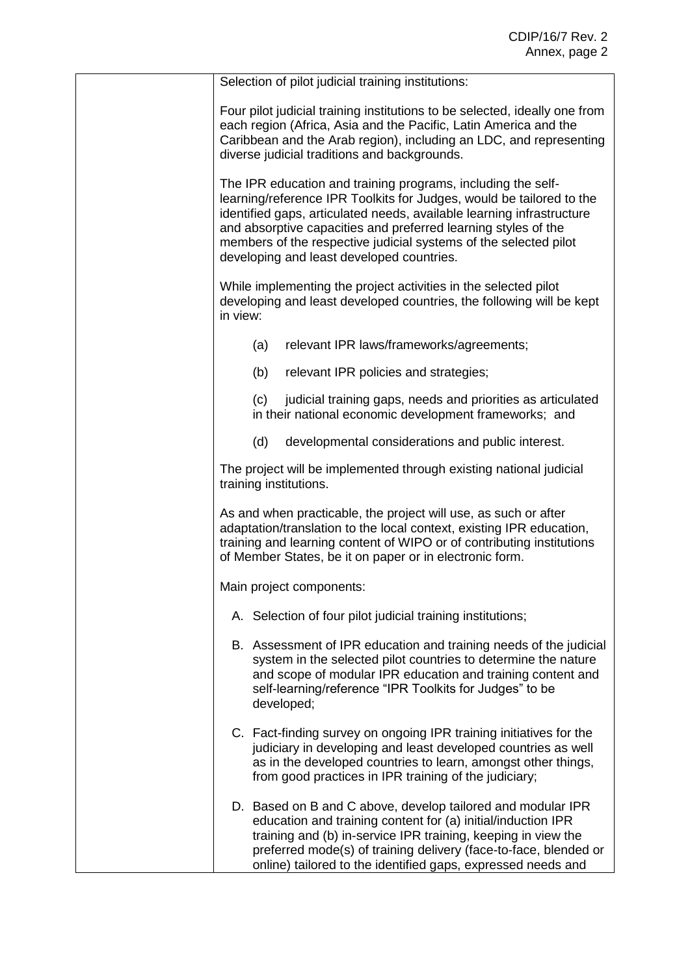| Selection of pilot judicial training institutions:                                                                                                                                                                                                                                                                                                                                               |  |
|--------------------------------------------------------------------------------------------------------------------------------------------------------------------------------------------------------------------------------------------------------------------------------------------------------------------------------------------------------------------------------------------------|--|
| Four pilot judicial training institutions to be selected, ideally one from<br>each region (Africa, Asia and the Pacific, Latin America and the<br>Caribbean and the Arab region), including an LDC, and representing<br>diverse judicial traditions and backgrounds.                                                                                                                             |  |
| The IPR education and training programs, including the self-<br>learning/reference IPR Toolkits for Judges, would be tailored to the<br>identified gaps, articulated needs, available learning infrastructure<br>and absorptive capacities and preferred learning styles of the<br>members of the respective judicial systems of the selected pilot<br>developing and least developed countries. |  |
| While implementing the project activities in the selected pilot<br>developing and least developed countries, the following will be kept<br>in view:                                                                                                                                                                                                                                              |  |
| relevant IPR laws/frameworks/agreements;<br>(a)                                                                                                                                                                                                                                                                                                                                                  |  |
| (b)<br>relevant IPR policies and strategies;                                                                                                                                                                                                                                                                                                                                                     |  |
| judicial training gaps, needs and priorities as articulated<br>(c)<br>in their national economic development frameworks; and                                                                                                                                                                                                                                                                     |  |
| (d)<br>developmental considerations and public interest.                                                                                                                                                                                                                                                                                                                                         |  |
| The project will be implemented through existing national judicial<br>training institutions.                                                                                                                                                                                                                                                                                                     |  |
| As and when practicable, the project will use, as such or after<br>adaptation/translation to the local context, existing IPR education,<br>training and learning content of WIPO or of contributing institutions<br>of Member States, be it on paper or in electronic form.                                                                                                                      |  |
| Main project components:                                                                                                                                                                                                                                                                                                                                                                         |  |
| A. Selection of four pilot judicial training institutions;                                                                                                                                                                                                                                                                                                                                       |  |
| B. Assessment of IPR education and training needs of the judicial<br>system in the selected pilot countries to determine the nature<br>and scope of modular IPR education and training content and<br>self-learning/reference "IPR Toolkits for Judges" to be<br>developed;                                                                                                                      |  |
| C. Fact-finding survey on ongoing IPR training initiatives for the<br>judiciary in developing and least developed countries as well<br>as in the developed countries to learn, amongst other things,<br>from good practices in IPR training of the judiciary;                                                                                                                                    |  |
| D. Based on B and C above, develop tailored and modular IPR<br>education and training content for (a) initial/induction IPR<br>training and (b) in-service IPR training, keeping in view the<br>preferred mode(s) of training delivery (face-to-face, blended or<br>online) tailored to the identified gaps, expressed needs and                                                                 |  |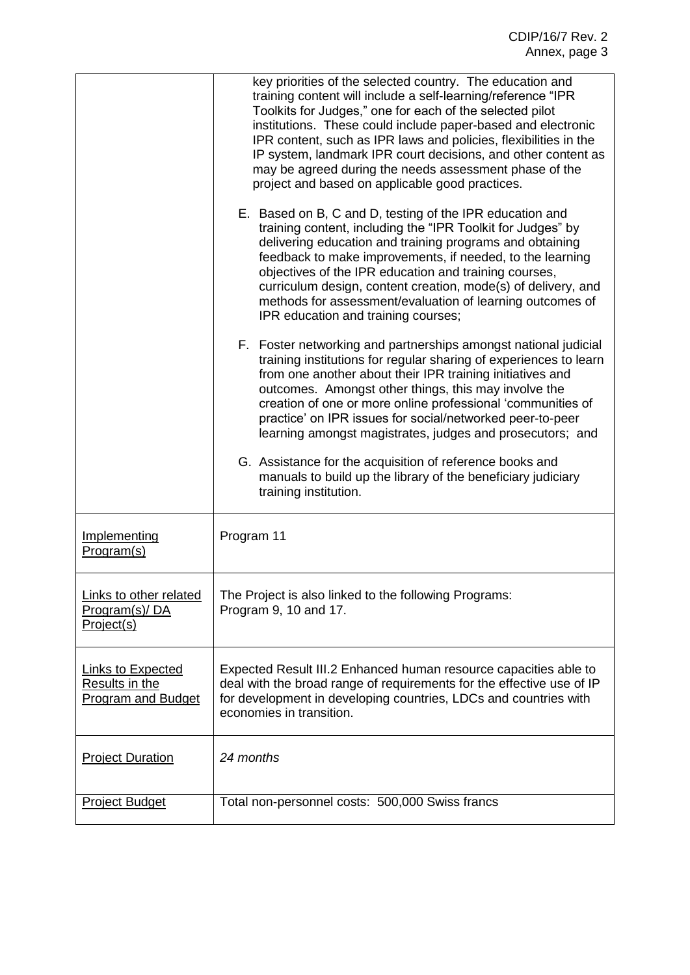|                                                                                | key priorities of the selected country. The education and<br>training content will include a self-learning/reference "IPR<br>Toolkits for Judges," one for each of the selected pilot<br>institutions. These could include paper-based and electronic<br>IPR content, such as IPR laws and policies, flexibilities in the<br>IP system, landmark IPR court decisions, and other content as<br>may be agreed during the needs assessment phase of the<br>project and based on applicable good practices.<br>E. Based on B, C and D, testing of the IPR education and<br>training content, including the "IPR Toolkit for Judges" by<br>delivering education and training programs and obtaining<br>feedback to make improvements, if needed, to the learning<br>objectives of the IPR education and training courses,<br>curriculum design, content creation, mode(s) of delivery, and<br>methods for assessment/evaluation of learning outcomes of<br>IPR education and training courses;<br>F. Foster networking and partnerships amongst national judicial<br>training institutions for regular sharing of experiences to learn<br>from one another about their IPR training initiatives and<br>outcomes. Amongst other things, this may involve the<br>creation of one or more online professional 'communities of<br>practice' on IPR issues for social/networked peer-to-peer<br>learning amongst magistrates, judges and prosecutors; and<br>G. Assistance for the acquisition of reference books and<br>manuals to build up the library of the beneficiary judiciary<br>training institution. |
|--------------------------------------------------------------------------------|------------------------------------------------------------------------------------------------------------------------------------------------------------------------------------------------------------------------------------------------------------------------------------------------------------------------------------------------------------------------------------------------------------------------------------------------------------------------------------------------------------------------------------------------------------------------------------------------------------------------------------------------------------------------------------------------------------------------------------------------------------------------------------------------------------------------------------------------------------------------------------------------------------------------------------------------------------------------------------------------------------------------------------------------------------------------------------------------------------------------------------------------------------------------------------------------------------------------------------------------------------------------------------------------------------------------------------------------------------------------------------------------------------------------------------------------------------------------------------------------------------------------------------------------------------------------------------------------------|
| Implementing<br>Program(s)                                                     | Program 11                                                                                                                                                                                                                                                                                                                                                                                                                                                                                                                                                                                                                                                                                                                                                                                                                                                                                                                                                                                                                                                                                                                                                                                                                                                                                                                                                                                                                                                                                                                                                                                           |
| Links to other related<br>Program(s)/DA<br>Project(s)                          | The Project is also linked to the following Programs:<br>Program 9, 10 and 17.                                                                                                                                                                                                                                                                                                                                                                                                                                                                                                                                                                                                                                                                                                                                                                                                                                                                                                                                                                                                                                                                                                                                                                                                                                                                                                                                                                                                                                                                                                                       |
| <b>Links to Expected</b><br><b>Results in the</b><br><b>Program and Budget</b> | Expected Result III.2 Enhanced human resource capacities able to<br>deal with the broad range of requirements for the effective use of IP<br>for development in developing countries, LDCs and countries with<br>economies in transition.                                                                                                                                                                                                                                                                                                                                                                                                                                                                                                                                                                                                                                                                                                                                                                                                                                                                                                                                                                                                                                                                                                                                                                                                                                                                                                                                                            |
| <b>Project Duration</b>                                                        | 24 months                                                                                                                                                                                                                                                                                                                                                                                                                                                                                                                                                                                                                                                                                                                                                                                                                                                                                                                                                                                                                                                                                                                                                                                                                                                                                                                                                                                                                                                                                                                                                                                            |
| <b>Project Budget</b>                                                          | Total non-personnel costs: 500,000 Swiss francs                                                                                                                                                                                                                                                                                                                                                                                                                                                                                                                                                                                                                                                                                                                                                                                                                                                                                                                                                                                                                                                                                                                                                                                                                                                                                                                                                                                                                                                                                                                                                      |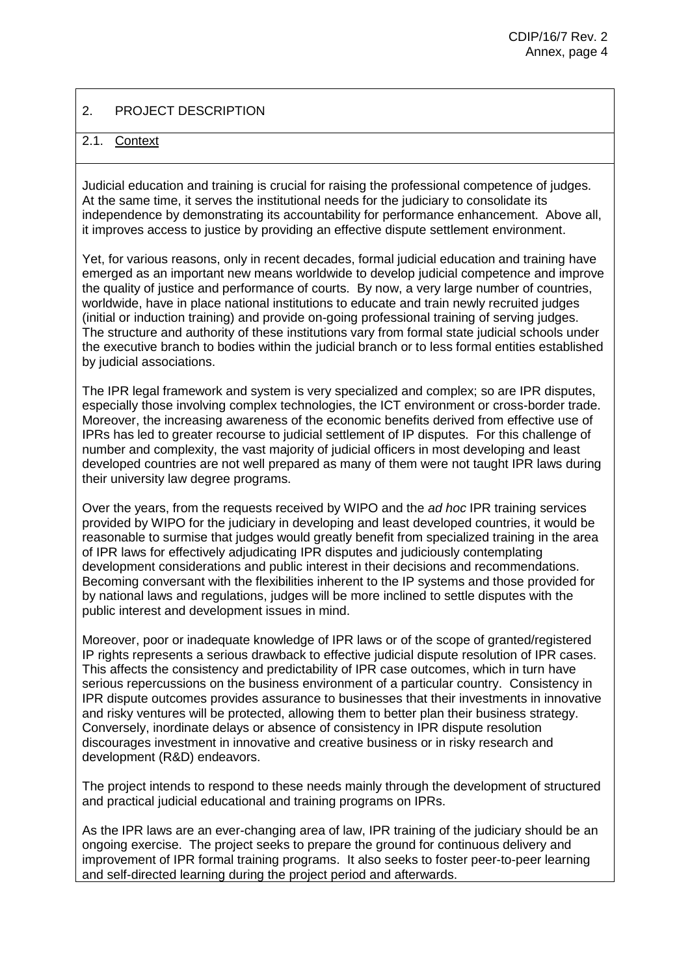## 2. PROJECT DESCRIPTION

### 2.1. Context

Judicial education and training is crucial for raising the professional competence of judges. At the same time, it serves the institutional needs for the judiciary to consolidate its independence by demonstrating its accountability for performance enhancement. Above all, it improves access to justice by providing an effective dispute settlement environment.

Yet, for various reasons, only in recent decades, formal judicial education and training have emerged as an important new means worldwide to develop judicial competence and improve the quality of justice and performance of courts. By now, a very large number of countries, worldwide, have in place national institutions to educate and train newly recruited judges (initial or induction training) and provide on-going professional training of serving judges. The structure and authority of these institutions vary from formal state judicial schools under the executive branch to bodies within the judicial branch or to less formal entities established by judicial associations.

The IPR legal framework and system is very specialized and complex; so are IPR disputes, especially those involving complex technologies, the ICT environment or cross-border trade. Moreover, the increasing awareness of the economic benefits derived from effective use of IPRs has led to greater recourse to judicial settlement of IP disputes. For this challenge of number and complexity, the vast majority of judicial officers in most developing and least developed countries are not well prepared as many of them were not taught IPR laws during their university law degree programs.

Over the years, from the requests received by WIPO and the *ad hoc* IPR training services provided by WIPO for the judiciary in developing and least developed countries, it would be reasonable to surmise that judges would greatly benefit from specialized training in the area of IPR laws for effectively adjudicating IPR disputes and judiciously contemplating development considerations and public interest in their decisions and recommendations. Becoming conversant with the flexibilities inherent to the IP systems and those provided for by national laws and regulations, judges will be more inclined to settle disputes with the public interest and development issues in mind.

Moreover, poor or inadequate knowledge of IPR laws or of the scope of granted/registered IP rights represents a serious drawback to effective judicial dispute resolution of IPR cases. This affects the consistency and predictability of IPR case outcomes, which in turn have serious repercussions on the business environment of a particular country. Consistency in IPR dispute outcomes provides assurance to businesses that their investments in innovative and risky ventures will be protected, allowing them to better plan their business strategy. Conversely, inordinate delays or absence of consistency in IPR dispute resolution discourages investment in innovative and creative business or in risky research and development (R&D) endeavors.

The project intends to respond to these needs mainly through the development of structured and practical judicial educational and training programs on IPRs.

As the IPR laws are an ever-changing area of law, IPR training of the judiciary should be an ongoing exercise. The project seeks to prepare the ground for continuous delivery and improvement of IPR formal training programs. It also seeks to foster peer-to-peer learning and self-directed learning during the project period and afterwards.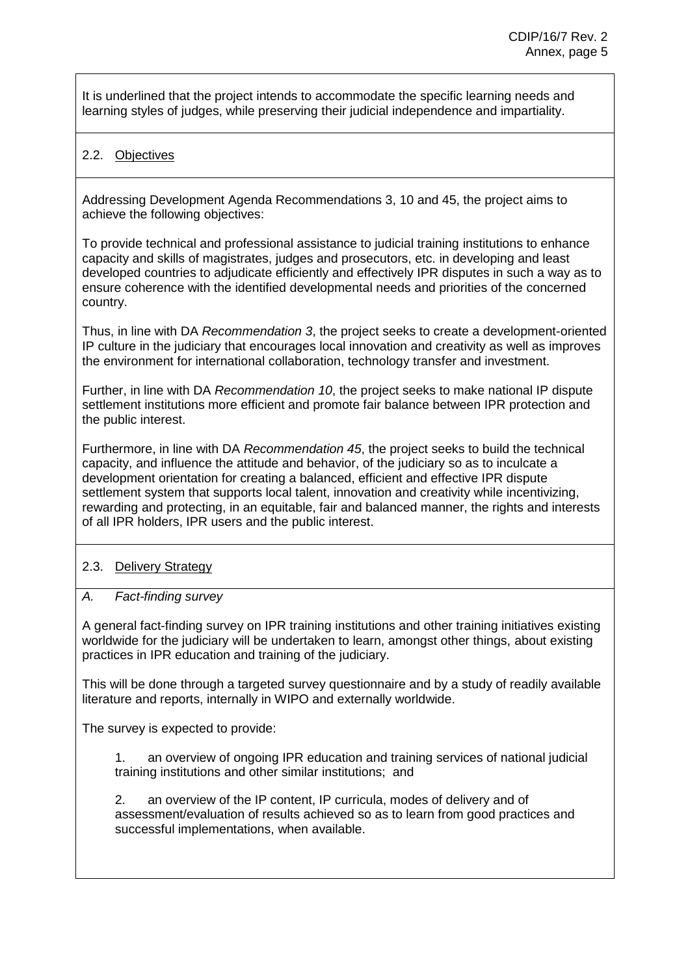It is underlined that the project intends to accommodate the specific learning needs and learning styles of judges, while preserving their judicial independence and impartiality.

### 2.2. Objectives

Addressing Development Agenda Recommendations 3, 10 and 45, the project aims to achieve the following objectives:

To provide technical and professional assistance to judicial training institutions to enhance capacity and skills of magistrates, judges and prosecutors, etc. in developing and least developed countries to adjudicate efficiently and effectively IPR disputes in such a way as to ensure coherence with the identified developmental needs and priorities of the concerned country.

Thus, in line with DA *Recommendation 3*, the project seeks to create a development-oriented IP culture in the judiciary that encourages local innovation and creativity as well as improves the environment for international collaboration, technology transfer and investment.

Further, in line with DA *Recommendation 10*, the project seeks to make national IP dispute settlement institutions more efficient and promote fair balance between IPR protection and the public interest.

Furthermore, in line with DA *Recommendation 45*, the project seeks to build the technical capacity, and influence the attitude and behavior, of the judiciary so as to inculcate a development orientation for creating a balanced, efficient and effective IPR dispute settlement system that supports local talent, innovation and creativity while incentivizing, rewarding and protecting, in an equitable, fair and balanced manner, the rights and interests of all IPR holders, IPR users and the public interest.

## 2.3. Delivery Strategy

#### *A. Fact-finding survey*

A general fact-finding survey on IPR training institutions and other training initiatives existing worldwide for the judiciary will be undertaken to learn, amongst other things, about existing practices in IPR education and training of the judiciary.

This will be done through a targeted survey questionnaire and by a study of readily available literature and reports, internally in WIPO and externally worldwide.

The survey is expected to provide:

1. an overview of ongoing IPR education and training services of national judicial training institutions and other similar institutions; and

2. an overview of the IP content, IP curricula, modes of delivery and of assessment/evaluation of results achieved so as to learn from good practices and successful implementations, when available.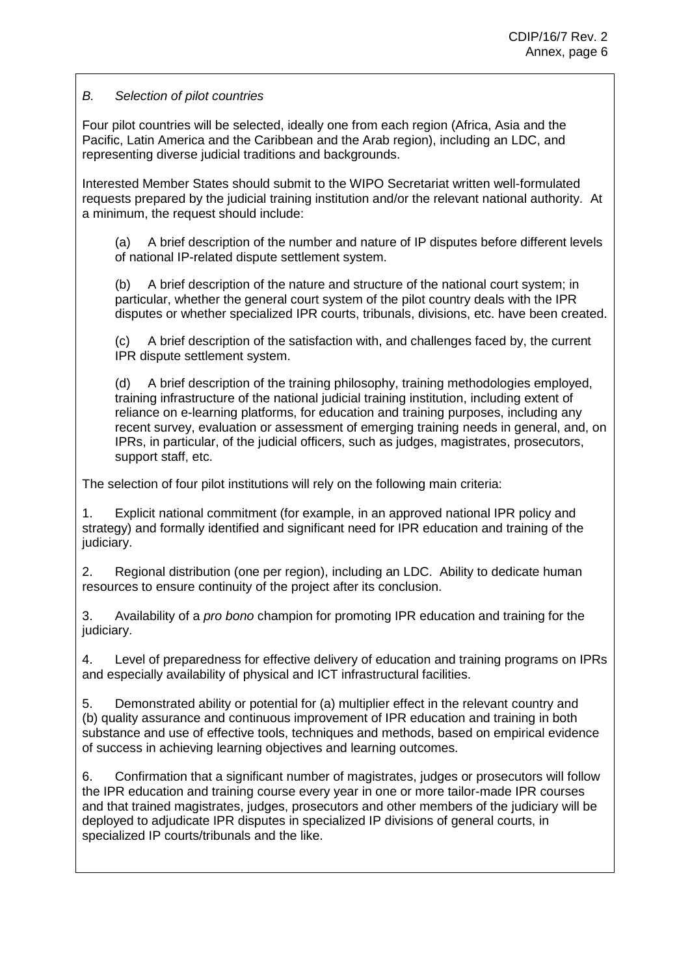### *B. Selection of pilot countries*

Four pilot countries will be selected, ideally one from each region (Africa, Asia and the Pacific, Latin America and the Caribbean and the Arab region), including an LDC, and representing diverse judicial traditions and backgrounds.

Interested Member States should submit to the WIPO Secretariat written well-formulated requests prepared by the judicial training institution and/or the relevant national authority. At a minimum, the request should include:

(a) A brief description of the number and nature of IP disputes before different levels of national IP-related dispute settlement system.

(b) A brief description of the nature and structure of the national court system; in particular, whether the general court system of the pilot country deals with the IPR disputes or whether specialized IPR courts, tribunals, divisions, etc. have been created.

(c) A brief description of the satisfaction with, and challenges faced by, the current IPR dispute settlement system.

(d) A brief description of the training philosophy, training methodologies employed, training infrastructure of the national judicial training institution, including extent of reliance on e-learning platforms, for education and training purposes, including any recent survey, evaluation or assessment of emerging training needs in general, and, on IPRs, in particular, of the judicial officers, such as judges, magistrates, prosecutors, support staff, etc.

The selection of four pilot institutions will rely on the following main criteria:

1. Explicit national commitment (for example, in an approved national IPR policy and strategy) and formally identified and significant need for IPR education and training of the judiciary.

2. Regional distribution (one per region), including an LDC. Ability to dedicate human resources to ensure continuity of the project after its conclusion.

3. Availability of a *pro bono* champion for promoting IPR education and training for the judiciary.

4. Level of preparedness for effective delivery of education and training programs on IPRs and especially availability of physical and ICT infrastructural facilities.

5. Demonstrated ability or potential for (a) multiplier effect in the relevant country and (b) quality assurance and continuous improvement of IPR education and training in both substance and use of effective tools, techniques and methods, based on empirical evidence of success in achieving learning objectives and learning outcomes.

6. Confirmation that a significant number of magistrates, judges or prosecutors will follow the IPR education and training course every year in one or more tailor-made IPR courses and that trained magistrates, judges, prosecutors and other members of the judiciary will be deployed to adjudicate IPR disputes in specialized IP divisions of general courts, in specialized IP courts/tribunals and the like.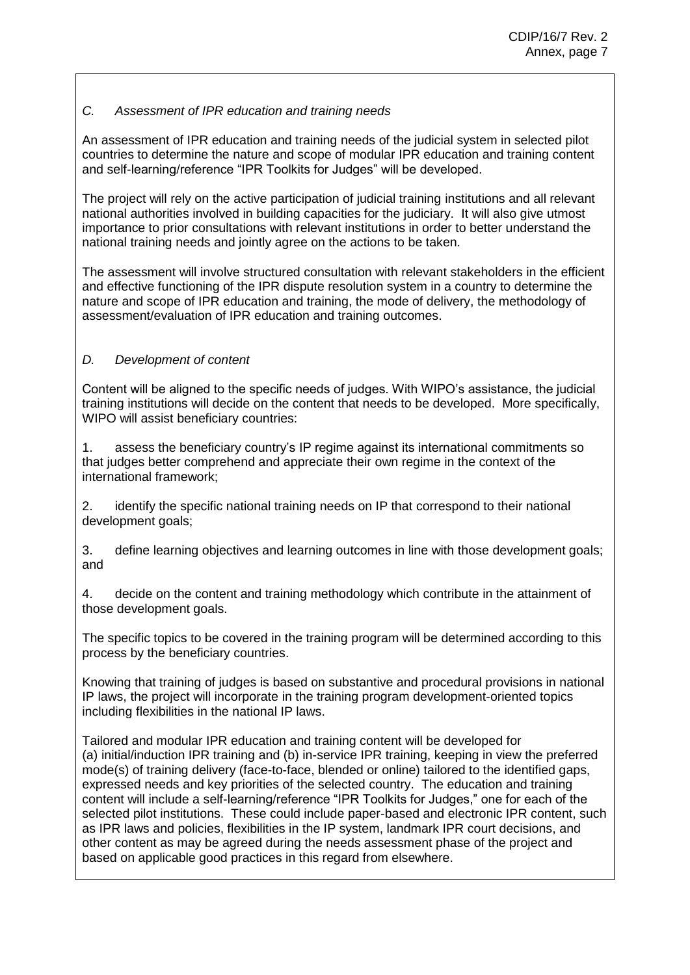### *C. Assessment of IPR education and training needs*

An assessment of IPR education and training needs of the judicial system in selected pilot countries to determine the nature and scope of modular IPR education and training content and self-learning/reference "IPR Toolkits for Judges" will be developed.

The project will rely on the active participation of judicial training institutions and all relevant national authorities involved in building capacities for the judiciary. It will also give utmost importance to prior consultations with relevant institutions in order to better understand the national training needs and jointly agree on the actions to be taken.

The assessment will involve structured consultation with relevant stakeholders in the efficient and effective functioning of the IPR dispute resolution system in a country to determine the nature and scope of IPR education and training, the mode of delivery, the methodology of assessment/evaluation of IPR education and training outcomes.

## *D. Development of content*

Content will be aligned to the specific needs of judges. With WIPO's assistance, the judicial training institutions will decide on the content that needs to be developed. More specifically, WIPO will assist beneficiary countries:

1. assess the beneficiary country's IP regime against its international commitments so that judges better comprehend and appreciate their own regime in the context of the international framework;

2. identify the specific national training needs on IP that correspond to their national development goals;

3. define learning objectives and learning outcomes in line with those development goals; and

4. decide on the content and training methodology which contribute in the attainment of those development goals.

The specific topics to be covered in the training program will be determined according to this process by the beneficiary countries.

Knowing that training of judges is based on substantive and procedural provisions in national IP laws, the project will incorporate in the training program development-oriented topics including flexibilities in the national IP laws.

Tailored and modular IPR education and training content will be developed for (a) initial/induction IPR training and (b) in-service IPR training, keeping in view the preferred mode(s) of training delivery (face-to-face, blended or online) tailored to the identified gaps, expressed needs and key priorities of the selected country. The education and training content will include a self-learning/reference "IPR Toolkits for Judges," one for each of the selected pilot institutions. These could include paper-based and electronic IPR content, such as IPR laws and policies, flexibilities in the IP system, landmark IPR court decisions, and other content as may be agreed during the needs assessment phase of the project and based on applicable good practices in this regard from elsewhere.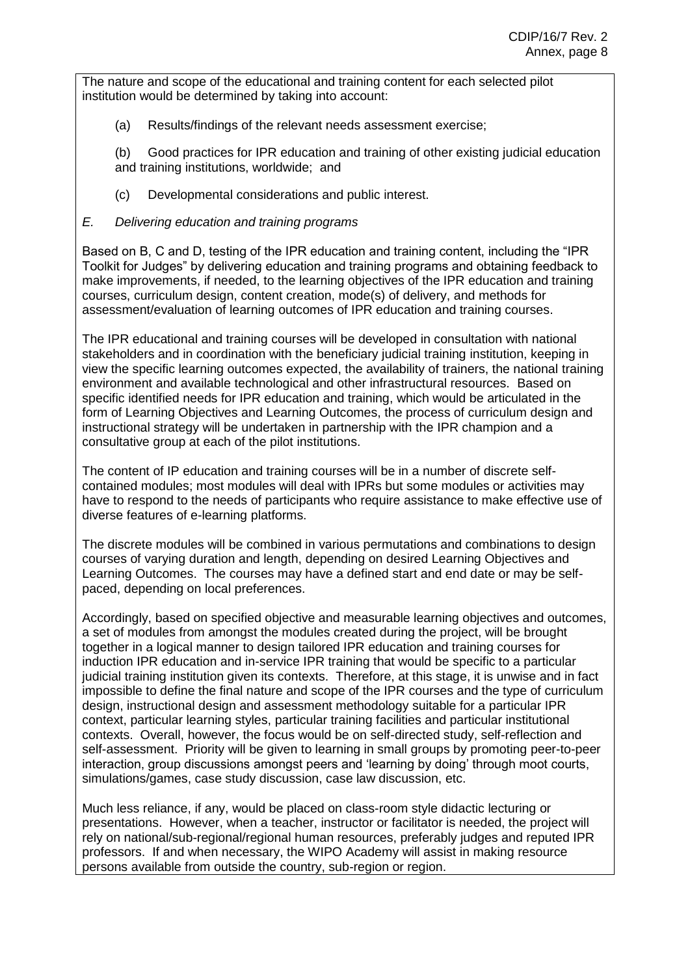The nature and scope of the educational and training content for each selected pilot institution would be determined by taking into account:

(a) Results/findings of the relevant needs assessment exercise;

(b) Good practices for IPR education and training of other existing judicial education and training institutions, worldwide; and

- (c) Developmental considerations and public interest.
- *E. Delivering education and training programs*

Based on B, C and D, testing of the IPR education and training content, including the "IPR Toolkit for Judges" by delivering education and training programs and obtaining feedback to make improvements, if needed, to the learning objectives of the IPR education and training courses, curriculum design, content creation, mode(s) of delivery, and methods for assessment/evaluation of learning outcomes of IPR education and training courses.

The IPR educational and training courses will be developed in consultation with national stakeholders and in coordination with the beneficiary judicial training institution, keeping in view the specific learning outcomes expected, the availability of trainers, the national training environment and available technological and other infrastructural resources. Based on specific identified needs for IPR education and training, which would be articulated in the form of Learning Objectives and Learning Outcomes, the process of curriculum design and instructional strategy will be undertaken in partnership with the IPR champion and a consultative group at each of the pilot institutions.

The content of IP education and training courses will be in a number of discrete selfcontained modules; most modules will deal with IPRs but some modules or activities may have to respond to the needs of participants who require assistance to make effective use of diverse features of e-learning platforms.

The discrete modules will be combined in various permutations and combinations to design courses of varying duration and length, depending on desired Learning Objectives and Learning Outcomes. The courses may have a defined start and end date or may be selfpaced, depending on local preferences.

Accordingly, based on specified objective and measurable learning objectives and outcomes, a set of modules from amongst the modules created during the project, will be brought together in a logical manner to design tailored IPR education and training courses for induction IPR education and in-service IPR training that would be specific to a particular judicial training institution given its contexts. Therefore, at this stage, it is unwise and in fact impossible to define the final nature and scope of the IPR courses and the type of curriculum design, instructional design and assessment methodology suitable for a particular IPR context, particular learning styles, particular training facilities and particular institutional contexts. Overall, however, the focus would be on self-directed study, self-reflection and self-assessment. Priority will be given to learning in small groups by promoting peer-to-peer interaction, group discussions amongst peers and 'learning by doing' through moot courts, simulations/games, case study discussion, case law discussion, etc.

Much less reliance, if any, would be placed on class-room style didactic lecturing or presentations. However, when a teacher, instructor or facilitator is needed, the project will rely on national/sub-regional/regional human resources, preferably judges and reputed IPR professors. If and when necessary, the WIPO Academy will assist in making resource persons available from outside the country, sub-region or region.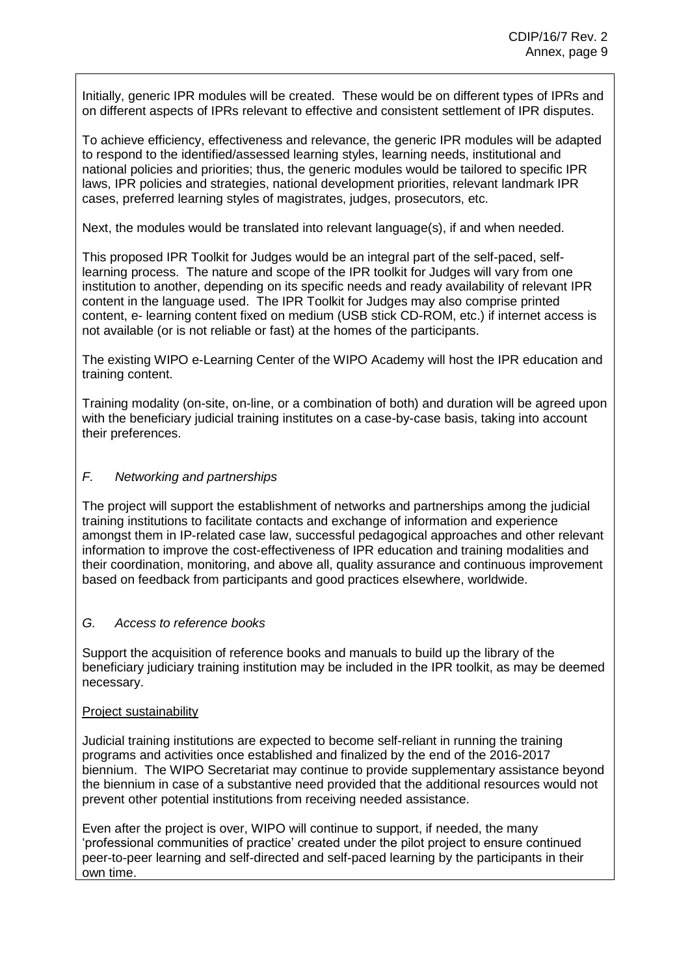Initially, generic IPR modules will be created. These would be on different types of IPRs and on different aspects of IPRs relevant to effective and consistent settlement of IPR disputes.

To achieve efficiency, effectiveness and relevance, the generic IPR modules will be adapted to respond to the identified/assessed learning styles, learning needs, institutional and national policies and priorities; thus, the generic modules would be tailored to specific IPR laws, IPR policies and strategies, national development priorities, relevant landmark IPR cases, preferred learning styles of magistrates, judges, prosecutors, etc.

Next, the modules would be translated into relevant language(s), if and when needed.

This proposed IPR Toolkit for Judges would be an integral part of the self-paced, selflearning process. The nature and scope of the IPR toolkit for Judges will vary from one institution to another, depending on its specific needs and ready availability of relevant IPR content in the language used. The IPR Toolkit for Judges may also comprise printed content, e- learning content fixed on medium (USB stick CD-ROM, etc.) if internet access is not available (or is not reliable or fast) at the homes of the participants.

The existing WIPO e-Learning Center of the WIPO Academy will host the IPR education and training content.

Training modality (on-site, on-line, or a combination of both) and duration will be agreed upon with the beneficiary judicial training institutes on a case-by-case basis, taking into account their preferences.

#### *F. Networking and partnerships*

The project will support the establishment of networks and partnerships among the judicial training institutions to facilitate contacts and exchange of information and experience amongst them in IP-related case law, successful pedagogical approaches and other relevant information to improve the cost-effectiveness of IPR education and training modalities and their coordination, monitoring, and above all, quality assurance and continuous improvement based on feedback from participants and good practices elsewhere, worldwide.

#### *G. Access to reference books*

Support the acquisition of reference books and manuals to build up the library of the beneficiary judiciary training institution may be included in the IPR toolkit, as may be deemed necessary.

#### Project sustainability

Judicial training institutions are expected to become self-reliant in running the training programs and activities once established and finalized by the end of the 2016-2017 biennium. The WIPO Secretariat may continue to provide supplementary assistance beyond the biennium in case of a substantive need provided that the additional resources would not prevent other potential institutions from receiving needed assistance.

Even after the project is over, WIPO will continue to support, if needed, the many 'professional communities of practice' created under the pilot project to ensure continued peer-to-peer learning and self-directed and self-paced learning by the participants in their own time.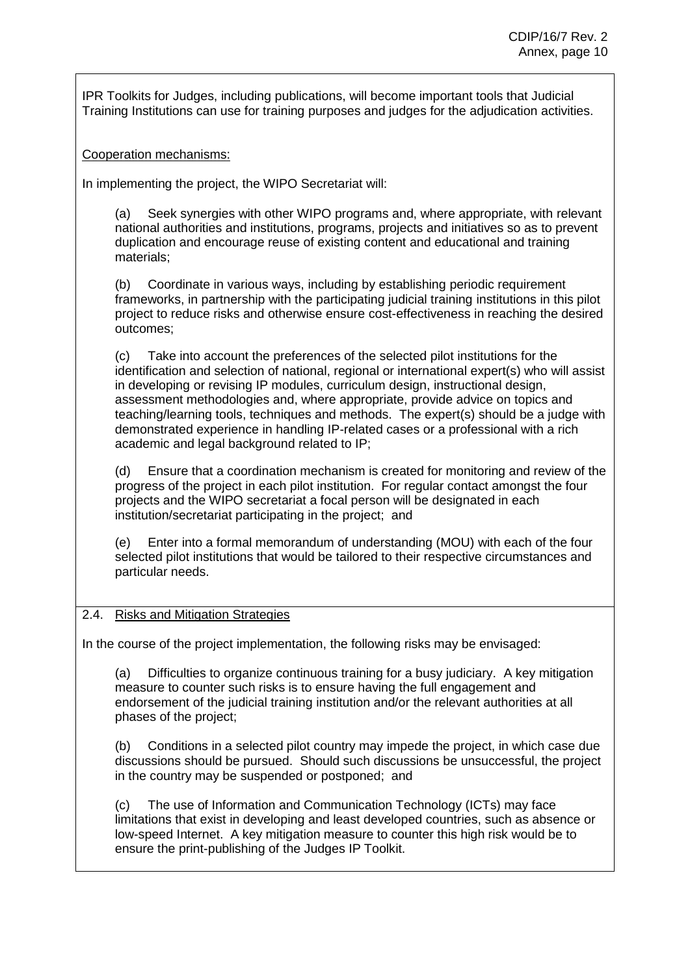IPR Toolkits for Judges, including publications, will become important tools that Judicial Training Institutions can use for training purposes and judges for the adjudication activities.

Cooperation mechanisms:

In implementing the project, the WIPO Secretariat will:

(a) Seek synergies with other WIPO programs and, where appropriate, with relevant national authorities and institutions, programs, projects and initiatives so as to prevent duplication and encourage reuse of existing content and educational and training materials;

(b) Coordinate in various ways, including by establishing periodic requirement frameworks, in partnership with the participating judicial training institutions in this pilot project to reduce risks and otherwise ensure cost-effectiveness in reaching the desired outcomes;

(c) Take into account the preferences of the selected pilot institutions for the identification and selection of national, regional or international expert(s) who will assist in developing or revising IP modules, curriculum design, instructional design, assessment methodologies and, where appropriate, provide advice on topics and teaching/learning tools, techniques and methods. The expert(s) should be a judge with demonstrated experience in handling IP-related cases or a professional with a rich academic and legal background related to IP;

(d) Ensure that a coordination mechanism is created for monitoring and review of the progress of the project in each pilot institution. For regular contact amongst the four projects and the WIPO secretariat a focal person will be designated in each institution/secretariat participating in the project; and

(e) Enter into a formal memorandum of understanding (MOU) with each of the four selected pilot institutions that would be tailored to their respective circumstances and particular needs.

#### 2.4. Risks and Mitigation Strategies

In the course of the project implementation, the following risks may be envisaged:

(a) Difficulties to organize continuous training for a busy judiciary. A key mitigation measure to counter such risks is to ensure having the full engagement and endorsement of the judicial training institution and/or the relevant authorities at all phases of the project;

(b) Conditions in a selected pilot country may impede the project, in which case due discussions should be pursued. Should such discussions be unsuccessful, the project in the country may be suspended or postponed; and

(c) The use of Information and Communication Technology (ICTs) may face limitations that exist in developing and least developed countries, such as absence or low-speed Internet. A key mitigation measure to counter this high risk would be to ensure the print-publishing of the Judges IP Toolkit.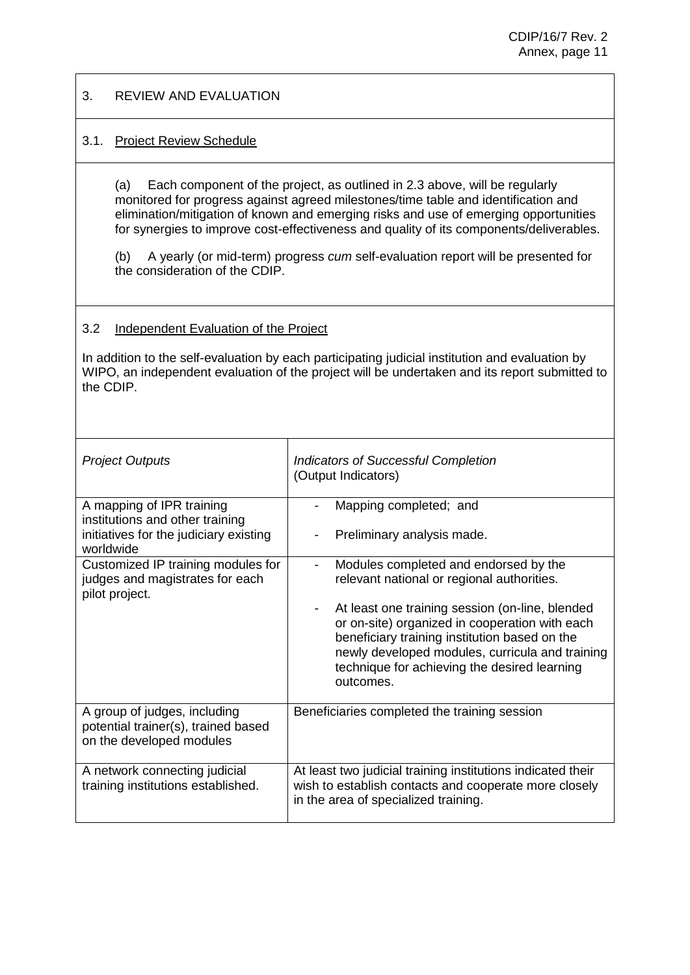#### 3. REVIEW AND EVALUATION

### 3.1. Project Review Schedule

(a) Each component of the project, as outlined in 2.3 above, will be regularly monitored for progress against agreed milestones/time table and identification and elimination/mitigation of known and emerging risks and use of emerging opportunities for synergies to improve cost-effectiveness and quality of its components/deliverables.

(b) A yearly (or mid-term) progress *cum* self-evaluation report will be presented for the consideration of the CDIP.

### 3.2 Independent Evaluation of the Project

In addition to the self-evaluation by each participating judicial institution and evaluation by WIPO, an independent evaluation of the project will be undertaken and its report submitted to the CDIP.

| <b>Project Outputs</b>                                                                                              | <b>Indicators of Successful Completion</b><br>(Output Indicators)                                                                                                                                                                                                                                                                                                   |  |  |  |  |  |
|---------------------------------------------------------------------------------------------------------------------|---------------------------------------------------------------------------------------------------------------------------------------------------------------------------------------------------------------------------------------------------------------------------------------------------------------------------------------------------------------------|--|--|--|--|--|
| A mapping of IPR training<br>institutions and other training<br>initiatives for the judiciary existing<br>worldwide | Mapping completed; and<br>Preliminary analysis made.<br>$\overline{\phantom{0}}$                                                                                                                                                                                                                                                                                    |  |  |  |  |  |
| Customized IP training modules for<br>judges and magistrates for each<br>pilot project.                             | Modules completed and endorsed by the<br>-<br>relevant national or regional authorities.<br>At least one training session (on-line, blended<br>-<br>or on-site) organized in cooperation with each<br>beneficiary training institution based on the<br>newly developed modules, curricula and training<br>technique for achieving the desired learning<br>outcomes. |  |  |  |  |  |
| A group of judges, including<br>potential trainer(s), trained based<br>on the developed modules                     | Beneficiaries completed the training session                                                                                                                                                                                                                                                                                                                        |  |  |  |  |  |
| A network connecting judicial<br>training institutions established.                                                 | At least two judicial training institutions indicated their<br>wish to establish contacts and cooperate more closely<br>in the area of specialized training.                                                                                                                                                                                                        |  |  |  |  |  |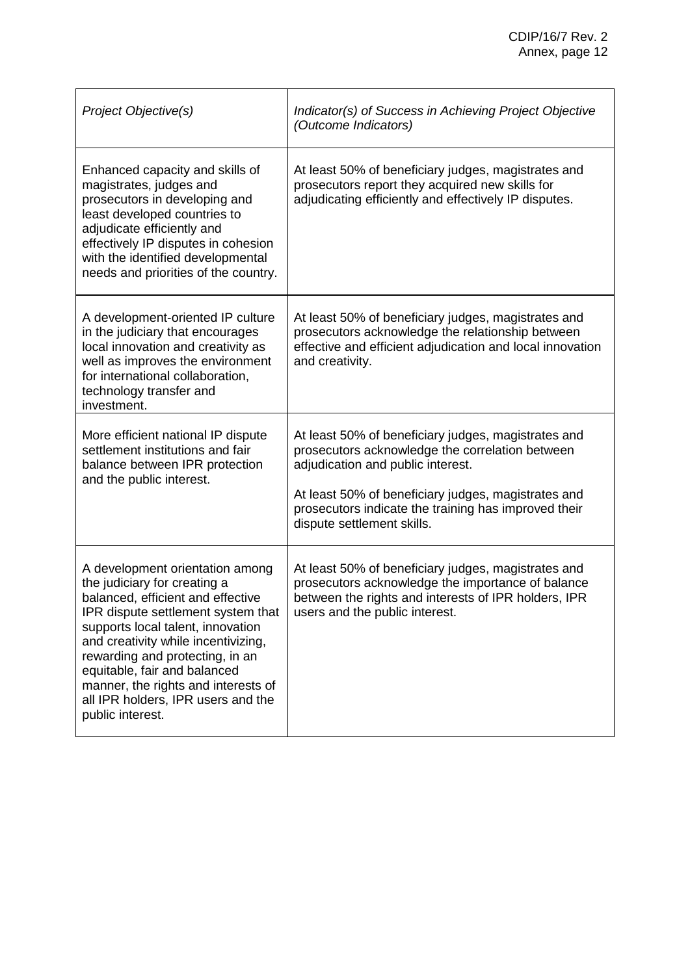| Project Objective(s)                                                                                                                                                                                                                                                                                                                                                                       | Indicator(s) of Success in Achieving Project Objective<br>(Outcome Indicators)                                                                                                                                                                                                           |
|--------------------------------------------------------------------------------------------------------------------------------------------------------------------------------------------------------------------------------------------------------------------------------------------------------------------------------------------------------------------------------------------|------------------------------------------------------------------------------------------------------------------------------------------------------------------------------------------------------------------------------------------------------------------------------------------|
| Enhanced capacity and skills of<br>magistrates, judges and<br>prosecutors in developing and<br>least developed countries to<br>adjudicate efficiently and<br>effectively IP disputes in cohesion<br>with the identified developmental<br>needs and priorities of the country.                                                                                                              | At least 50% of beneficiary judges, magistrates and<br>prosecutors report they acquired new skills for<br>adjudicating efficiently and effectively IP disputes.                                                                                                                          |
| A development-oriented IP culture<br>in the judiciary that encourages<br>local innovation and creativity as<br>well as improves the environment<br>for international collaboration,<br>technology transfer and<br>investment.                                                                                                                                                              | At least 50% of beneficiary judges, magistrates and<br>prosecutors acknowledge the relationship between<br>effective and efficient adjudication and local innovation<br>and creativity.                                                                                                  |
| More efficient national IP dispute<br>settlement institutions and fair<br>balance between IPR protection<br>and the public interest.                                                                                                                                                                                                                                                       | At least 50% of beneficiary judges, magistrates and<br>prosecutors acknowledge the correlation between<br>adjudication and public interest.<br>At least 50% of beneficiary judges, magistrates and<br>prosecutors indicate the training has improved their<br>dispute settlement skills. |
| A development orientation among<br>the judiciary for creating a<br>balanced, efficient and effective<br>IPR dispute settlement system that<br>supports local talent, innovation<br>and creativity while incentivizing,<br>rewarding and protecting, in an<br>equitable, fair and balanced<br>manner, the rights and interests of<br>all IPR holders, IPR users and the<br>public interest. | At least 50% of beneficiary judges, magistrates and<br>prosecutors acknowledge the importance of balance<br>between the rights and interests of IPR holders, IPR<br>users and the public interest.                                                                                       |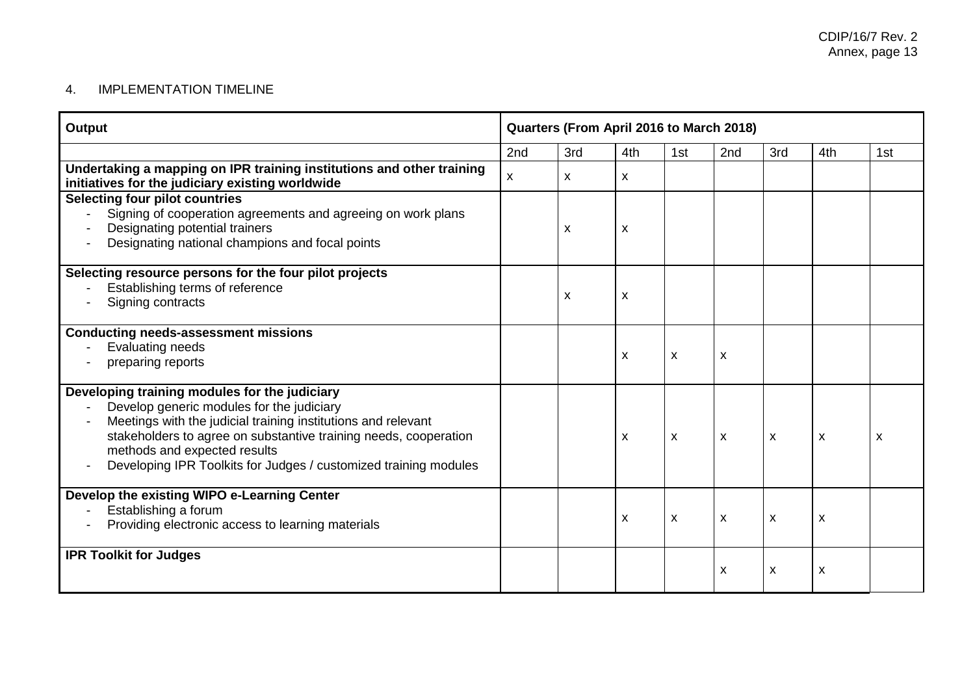## 4. IMPLEMENTATION TIMELINE

| Output                                                                                                                                                                                                                                                                                                                                                          | Quarters (From April 2016 to March 2018) |     |                           |     |                           |                           |              |                           |
|-----------------------------------------------------------------------------------------------------------------------------------------------------------------------------------------------------------------------------------------------------------------------------------------------------------------------------------------------------------------|------------------------------------------|-----|---------------------------|-----|---------------------------|---------------------------|--------------|---------------------------|
|                                                                                                                                                                                                                                                                                                                                                                 | 2nd                                      | 3rd | 4th                       | 1st | 2nd                       | 3rd                       | 4th          | 1st                       |
| Undertaking a mapping on IPR training institutions and other training<br>initiatives for the judiciary existing worldwide                                                                                                                                                                                                                                       | $\mathsf{x}$                             | X   | X                         |     |                           |                           |              |                           |
| <b>Selecting four pilot countries</b><br>Signing of cooperation agreements and agreeing on work plans<br>Designating potential trainers<br>Designating national champions and focal points                                                                                                                                                                      |                                          | x   | X                         |     |                           |                           |              |                           |
| Selecting resource persons for the four pilot projects<br>Establishing terms of reference<br>Signing contracts                                                                                                                                                                                                                                                  |                                          | X   | X                         |     |                           |                           |              |                           |
| <b>Conducting needs-assessment missions</b><br>Evaluating needs<br>preparing reports                                                                                                                                                                                                                                                                            |                                          |     | $\boldsymbol{\mathsf{x}}$ | X   | $\boldsymbol{\mathsf{X}}$ |                           |              |                           |
| Developing training modules for the judiciary<br>Develop generic modules for the judiciary<br>Meetings with the judicial training institutions and relevant<br>stakeholders to agree on substantive training needs, cooperation<br>methods and expected results<br>Developing IPR Toolkits for Judges / customized training modules<br>$\overline{\phantom{a}}$ |                                          |     | X                         | X   | $\mathsf{x}$              | $\boldsymbol{\mathsf{X}}$ | $\mathsf{x}$ | $\boldsymbol{\mathsf{x}}$ |
| Develop the existing WIPO e-Learning Center<br>Establishing a forum<br>Providing electronic access to learning materials                                                                                                                                                                                                                                        |                                          |     | X                         | X   | $\boldsymbol{\mathsf{x}}$ | $\boldsymbol{\mathsf{X}}$ | X            |                           |
| <b>IPR Toolkit for Judges</b>                                                                                                                                                                                                                                                                                                                                   |                                          |     |                           |     | $\pmb{\mathsf{X}}$        | X                         | X            |                           |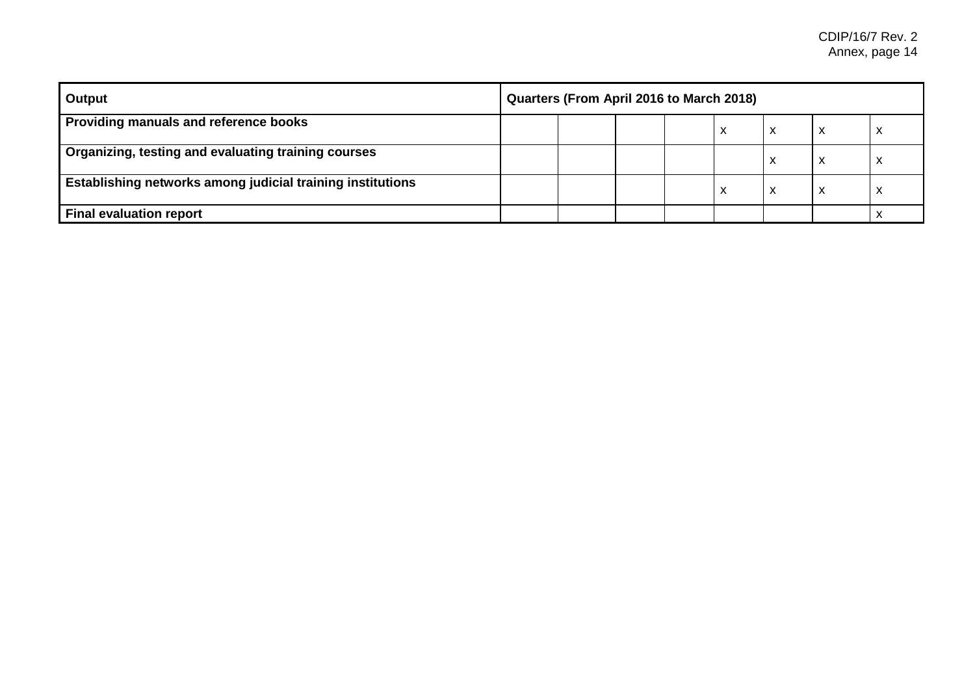| <b>Output</b>                                                     | Quarters (From April 2016 to March 2018) |  |  |  |   |                   |   |  |
|-------------------------------------------------------------------|------------------------------------------|--|--|--|---|-------------------|---|--|
| Providing manuals and reference books                             |                                          |  |  |  | x | $\checkmark$<br>́ | x |  |
| Organizing, testing and evaluating training courses               |                                          |  |  |  |   | $\checkmark$<br>⋏ | х |  |
| <b>Establishing networks among judicial training institutions</b> |                                          |  |  |  | x | M<br>⋏            | х |  |
| Final evaluation report                                           |                                          |  |  |  |   |                   |   |  |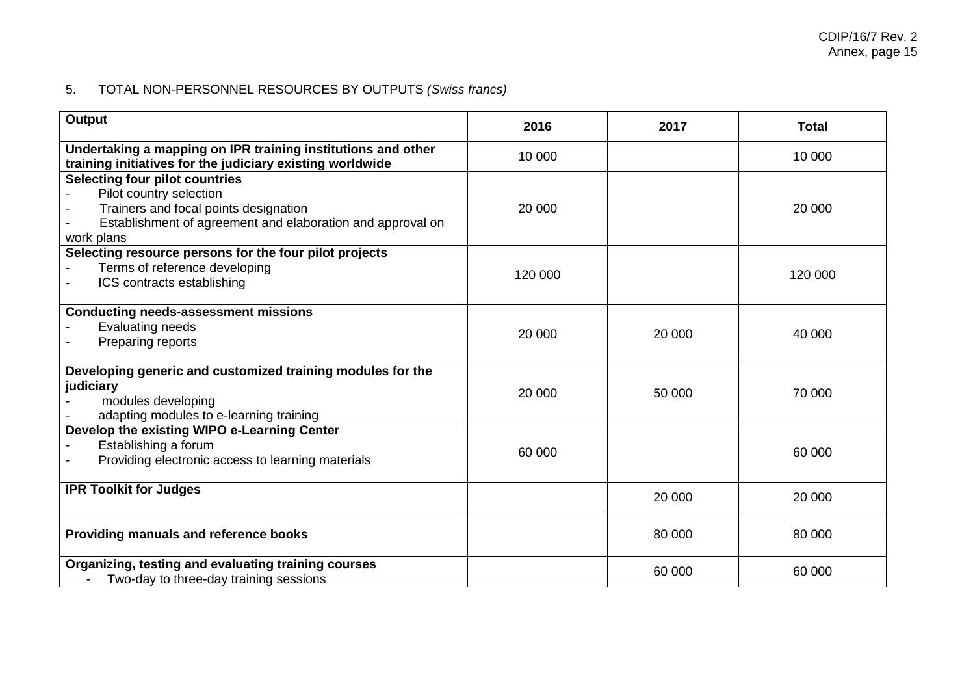# 5. TOTAL NON-PERSONNEL RESOURCES BY OUTPUTS *(Swiss francs)*

| Output                                                                                                                                                                                | 2016    | 2017   | <b>Total</b> |
|---------------------------------------------------------------------------------------------------------------------------------------------------------------------------------------|---------|--------|--------------|
| Undertaking a mapping on IPR training institutions and other<br>training initiatives for the judiciary existing worldwide                                                             | 10 000  |        | 10 000       |
| <b>Selecting four pilot countries</b><br>Pilot country selection<br>Trainers and focal points designation<br>Establishment of agreement and elaboration and approval on<br>work plans | 20 000  |        | 20 000       |
| Selecting resource persons for the four pilot projects<br>Terms of reference developing<br>ICS contracts establishing                                                                 | 120 000 |        | 120 000      |
| <b>Conducting needs-assessment missions</b><br><b>Evaluating needs</b><br>Preparing reports                                                                                           | 20 000  | 20 000 | 40 000       |
| Developing generic and customized training modules for the<br>judiciary<br>modules developing<br>adapting modules to e-learning training                                              | 20 000  | 50 000 | 70 000       |
| Develop the existing WIPO e-Learning Center<br>Establishing a forum<br>Providing electronic access to learning materials                                                              | 60 000  |        | 60 000       |
| <b>IPR Toolkit for Judges</b>                                                                                                                                                         |         | 20 000 | 20 000       |
| Providing manuals and reference books                                                                                                                                                 |         | 80 000 | 80 000       |
| Organizing, testing and evaluating training courses<br>Two-day to three-day training sessions                                                                                         |         | 60 000 | 60 000       |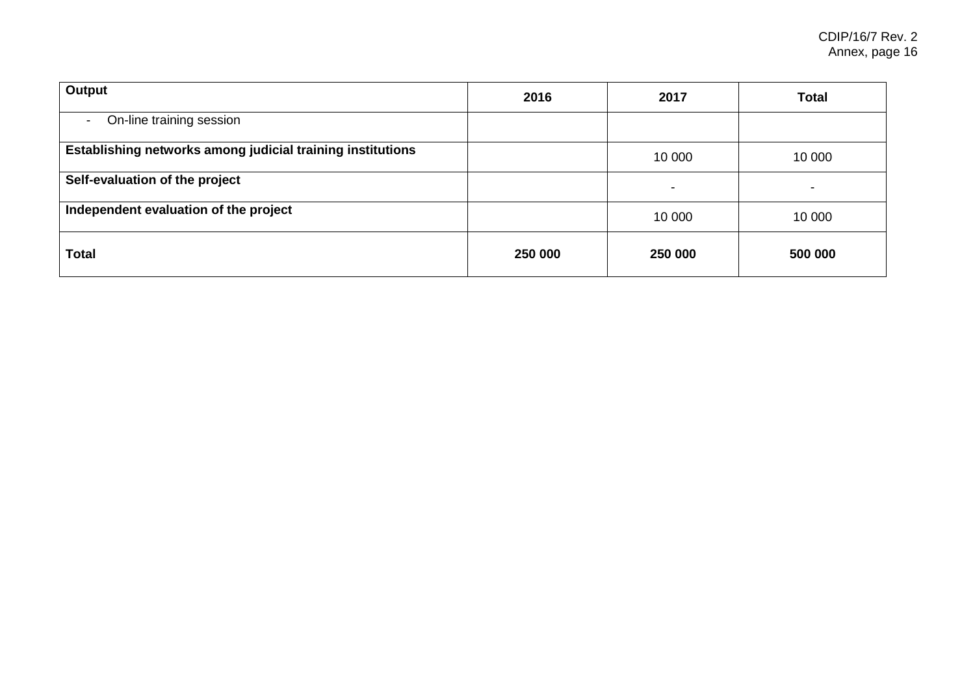| Output                                                     | 2016    | 2017    | <b>Total</b> |
|------------------------------------------------------------|---------|---------|--------------|
| On-line training session<br>$\sim$                         |         |         |              |
| Establishing networks among judicial training institutions |         | 10 000  | 10 000       |
| Self-evaluation of the project                             |         | -       |              |
| Independent evaluation of the project                      |         | 10 000  | 10 000       |
| <b>Total</b>                                               | 250 000 | 250 000 | 500 000      |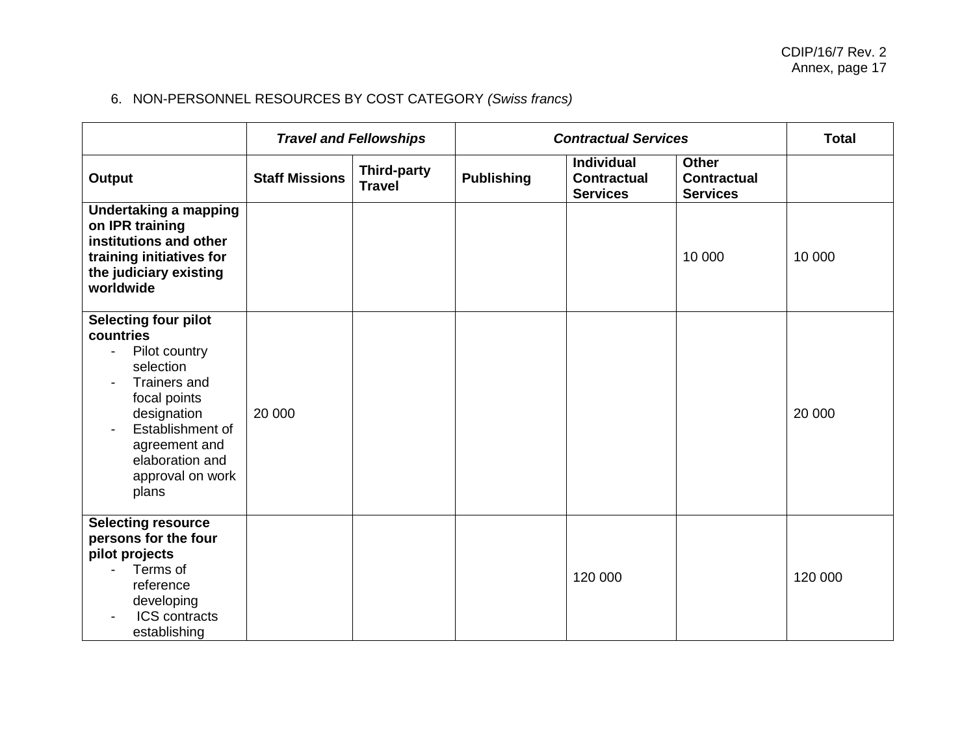# 6. NON-PERSONNEL RESOURCES BY COST CATEGORY *(Swiss francs)*

|                                                                                                                                                                                                                              |                       | <b>Travel and Fellowships</b>       |                   | <b>Contractual Services</b>                                |                                                       | <b>Total</b> |
|------------------------------------------------------------------------------------------------------------------------------------------------------------------------------------------------------------------------------|-----------------------|-------------------------------------|-------------------|------------------------------------------------------------|-------------------------------------------------------|--------------|
| Output                                                                                                                                                                                                                       | <b>Staff Missions</b> | <b>Third-party</b><br><b>Travel</b> | <b>Publishing</b> | <b>Individual</b><br><b>Contractual</b><br><b>Services</b> | <b>Other</b><br><b>Contractual</b><br><b>Services</b> |              |
| <b>Undertaking a mapping</b><br>on IPR training<br>institutions and other<br>training initiatives for<br>the judiciary existing<br>worldwide                                                                                 |                       |                                     |                   |                                                            | 10 000                                                | 10 000       |
| Selecting four pilot<br>countries<br>Pilot country<br>$\blacksquare$<br>selection<br><b>Trainers and</b><br>focal points<br>designation<br>Establishment of<br>agreement and<br>elaboration and<br>approval on work<br>plans | 20 000                |                                     |                   |                                                            |                                                       | 20 000       |
| <b>Selecting resource</b><br>persons for the four<br>pilot projects<br>Terms of<br>reference<br>developing<br><b>ICS</b> contracts<br>establishing                                                                           |                       |                                     |                   | 120 000                                                    |                                                       | 120 000      |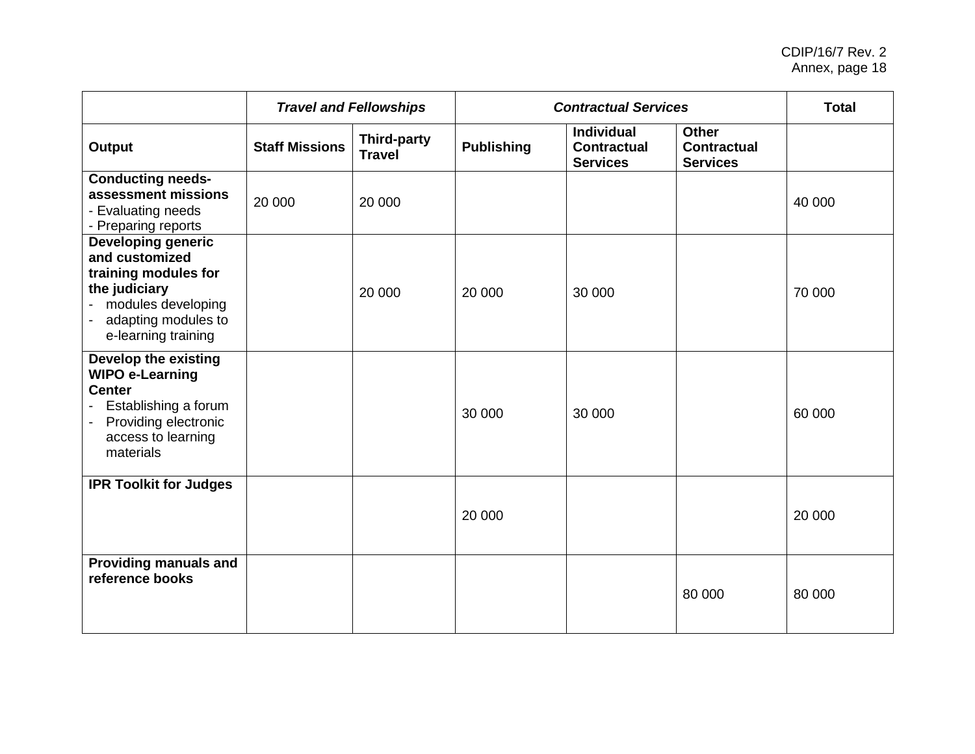#### CDIP/16/7 Rev. 2 Annex, page 18

|                                                                                                                                                            |                       | <b>Travel and Fellowships</b>       |                   | <b>Contractual Services</b>                                |                                                       | <b>Total</b> |
|------------------------------------------------------------------------------------------------------------------------------------------------------------|-----------------------|-------------------------------------|-------------------|------------------------------------------------------------|-------------------------------------------------------|--------------|
| <b>Output</b>                                                                                                                                              | <b>Staff Missions</b> | <b>Third-party</b><br><b>Travel</b> | <b>Publishing</b> | <b>Individual</b><br><b>Contractual</b><br><b>Services</b> | <b>Other</b><br><b>Contractual</b><br><b>Services</b> |              |
| <b>Conducting needs-</b><br>assessment missions<br>- Evaluating needs<br>- Preparing reports                                                               | 20 000                | 20 000                              |                   |                                                            |                                                       | 40 000       |
| <b>Developing generic</b><br>and customized<br>training modules for<br>the judiciary<br>- modules developing<br>adapting modules to<br>e-learning training |                       | 20 000                              | 20 000            | 30 000                                                     |                                                       | 70 000       |
| <b>Develop the existing</b><br><b>WIPO e-Learning</b><br><b>Center</b><br>Establishing a forum<br>Providing electronic<br>access to learning<br>materials  |                       |                                     | 30 000            | 30 000                                                     |                                                       | 60 000       |
| <b>IPR Toolkit for Judges</b>                                                                                                                              |                       |                                     | 20 000            |                                                            |                                                       | 20 000       |
| <b>Providing manuals and</b><br>reference books                                                                                                            |                       |                                     |                   |                                                            | 80 000                                                | 80 000       |